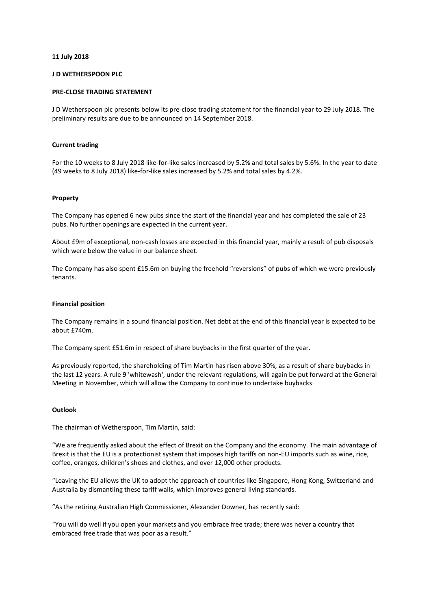### **11 July 2018**

# **J D WETHERSPOON PLC**

# **PRE-CLOSE TRADING STATEMENT**

J D Wetherspoon plc presents below its pre-close trading statement for the financial year to 29 July 2018. The preliminary results are due to be announced on 14 September 2018.

# **Current trading**

For the 10 weeks to 8 July 2018 like-for-like sales increased by 5.2% and total sales by 5.6%. In the year to date (49 weeks to 8 July 2018) like-for-like sales increased by 5.2% and total sales by 4.2%.

# **Property**

The Company has opened 6 new pubs since the start of the financial year and has completed the sale of 23 pubs. No further openings are expected in the current year.

About £9m of exceptional, non-cash losses are expected in this financial year, mainly a result of pub disposals which were below the value in our balance sheet.

The Company has also spent £15.6m on buying the freehold "reversions" of pubs of which we were previously tenants.

### **Financial position**

The Company remains in a sound financial position. Net debt at the end of this financial year is expected to be about  $f740m$ .

The Company spent £51.6m in respect of share buybacks in the first quarter of the year.

As previously reported, the shareholding of Tim Martin has risen above 30%, as a result of share buybacks in the last 12 years. A rule 9 'whitewash', under the relevant regulations, will again be put forward at the General Meeting in November, which will allow the Company to continue to undertake buybacks

#### **Outlook**

The chairman of Wetherspoon, Tim Martin, said:

"We are frequently asked about the effect of Brexit on the Company and the economy. The main advantage of Brexit is that the EU is a protectionist system that imposes high tariffs on non-EU imports such as wine, rice, coffee, oranges, children's shoes and clothes, and over 12,000 other products.

"Leaving the EU allows the UK to adopt the approach of countries like Singapore, Hong Kong, Switzerland and Australia by dismantling these tariff walls, which improves general living standards.

"As the retiring Australian High Commissioner, Alexander Downer, has recently said:

"You will do well if you open your markets and you embrace free trade; there was never a country that embraced free trade that was poor as a result."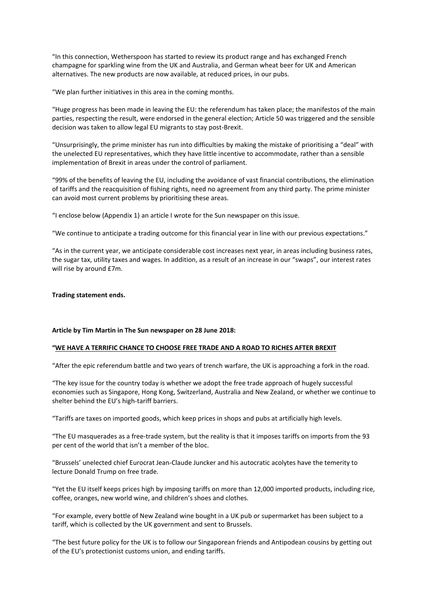"In this connection, Wetherspoon has started to review its product range and has exchanged French champagne for sparkling wine from the UK and Australia, and German wheat beer for UK and American alternatives. The new products are now available, at reduced prices, in our pubs.

"We plan further initiatives in this area in the coming months.

"Huge progress has been made in leaving the EU: the referendum has taken place; the manifestos of the main parties, respecting the result, were endorsed in the general election; Article 50 was triggered and the sensible decision was taken to allow legal EU migrants to stay post-Brexit.

"Unsurprisingly, the prime minister has run into difficulties by making the mistake of prioritising a "deal" with the unelected EU representatives, which they have little incentive to accommodate, rather than a sensible implementation of Brexit in areas under the control of parliament.

"99% of the benefits of leaving the EU, including the avoidance of vast financial contributions, the elimination of tariffs and the reacquisition of fishing rights, need no agreement from any third party. The prime minister can avoid most current problems by prioritising these areas.

"I enclose below (Appendix 1) an article I wrote for the Sun newspaper on this issue.

"We continue to anticipate a trading outcome for this financial year in line with our previous expectations."

"As in the current year, we anticipate considerable cost increases next year, in areas including business rates, the sugar tax, utility taxes and wages. In addition, as a result of an increase in our "swaps", our interest rates will rise by around £7m.

**Trading statement ends.**

#### **Article by Tim Martin in The Sun newspaper on 28 June 2018:**

#### **"WE HAVE A TERRIFIC CHANCE TO CHOOSE FREE TRADE AND A ROAD TO RICHES AFTER BREXIT**

"After the epic referendum battle and two years of trench warfare, the UK is approaching a fork in the road.

"The key issue for the country today is whether we adopt the free trade approach of hugely successful economies such as Singapore, Hong Kong, Switzerland, Australia and New Zealand, or whether we continue to shelter behind the EU's high-tariff barriers.

"Tariffs are taxes on imported goods, which keep prices in shops and pubs at artificially high levels.

"The EU masquerades as a free-trade system, but the reality is that it imposes tariffs on imports from the 93 per cent of the world that isn't a member of the bloc.

"Brussels' unelected chief Eurocrat Jean-Claude Juncker and his autocratic acolytes have the temerity to lecture Donald Trump on free trade.

"Yet the EU itself keeps prices high by imposing tariffs on more than 12,000 imported products, including rice, coffee, oranges, new world wine, and children's shoes and clothes.

"For example, every bottle of New Zealand wine bought in a UK pub or supermarket has been subject to a tariff, which is collected by the UK government and sent to Brussels.

"The best future policy for the UK is to follow our Singaporean friends and Antipodean cousins by getting out of the EU's protectionist customs union, and ending tariffs.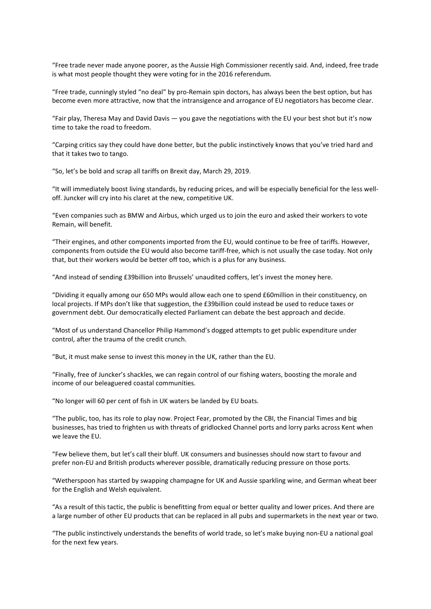"Free trade never made anyone poorer, as the Aussie High Commissioner recently said. And, indeed, free trade is what most people thought they were voting for in the 2016 referendum.

"Free trade, cunningly styled "no deal" by pro-Remain spin doctors, has always been the best option, but has become even more attractive, now that the intransigence and arrogance of EU negotiators has become clear.

"Fair play, Theresa May and David Davis — you gave the negotiations with the EU your best shot but it's now time to take the road to freedom.

"Carping critics say they could have done better, but the public instinctively knows that you've tried hard and that it takes two to tango.

"So, let's be bold and scrap all tariffs on Brexit day, March 29, 2019.

"It will immediately boost living standards, by reducing prices, and will be especially beneficial for the less welloff. Juncker will cry into his claret at the new, competitive UK.

"Even companies such as BMW and Airbus, which urged us to join the euro and asked their workers to vote Remain, will benefit.

"Their engines, and other components imported from the EU, would continue to be free of tariffs. However, components from outside the EU would also become tariff-free, which is not usually the case today. Not only that, but their workers would be better off too, which is a plus for any business.

"And instead of sending £39billion into Brussels' unaudited coffers, let's invest the money here.

"Dividing it equally among our 650 MPs would allow each one to spend £60million in their constituency, on local projects. If MPs don't like that suggestion, the £39billion could instead be used to reduce taxes or government debt. Our democratically elected Parliament can debate the best approach and decide.

"Most of us understand Chancellor Philip Hammond's dogged attempts to get public expenditure under control, after the trauma of the credit crunch.

"But, it must make sense to invest this money in the UK, rather than the EU.

"Finally, free of Juncker's shackles, we can regain control of our fishing waters, boosting the morale and income of our beleaguered coastal communities.

"No longer will 60 per cent of fish in UK waters be landed by EU boats.

"The public, too, has its role to play now. Project Fear, promoted by the CBI, the Financial Times and big businesses, has tried to frighten us with threats of gridlocked Channel ports and lorry parks across Kent when we leave the EU.

"Few believe them, but let's call their bluff. UK consumers and businesses should now start to favour and prefer non-EU and British products wherever possible, dramatically reducing pressure on those ports.

"Wetherspoon has started by swapping champagne for UK and Aussie sparkling wine, and German wheat beer for the English and Welsh equivalent.

"As a result of this tactic, the public is benefitting from equal or better quality and lower prices. And there are a large number of other EU products that can be replaced in all pubs and supermarkets in the next year or two.

"The public instinctively understands the benefits of world trade, so let's make buying non-EU a national goal for the next few years.